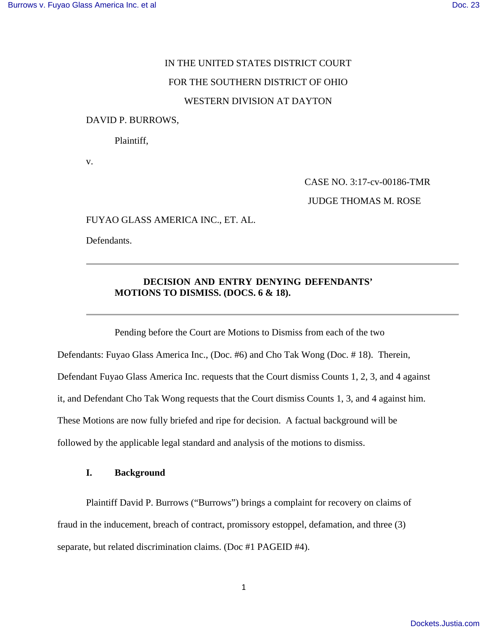# IN THE UNITED STATES DISTRICT COURT FOR THE SOUTHERN DISTRICT OF OHIO WESTERN DIVISION AT DAYTON

## DAVID P. BURROWS,

Plaintiff,

v.

CASE NO. 3:17-cv-00186-TMR

JUDGE THOMAS M. ROSE

FUYAO GLASS AMERICA INC., ET. AL.

Defendants.

## **DECISION AND ENTRY DENYING DEFENDANTS' MOTIONS TO DISMISS. (DOCS. 6 & 18).**

 Pending before the Court are Motions to Dismiss from each of the two Defendants: Fuyao Glass America Inc., (Doc. #6) and Cho Tak Wong (Doc. # 18). Therein, Defendant Fuyao Glass America Inc. requests that the Court dismiss Counts 1, 2, 3, and 4 against it, and Defendant Cho Tak Wong requests that the Court dismiss Counts 1, 3, and 4 against him. These Motions are now fully briefed and ripe for decision. A factual background will be followed by the applicable legal standard and analysis of the motions to dismiss.

## **I. Background**

Plaintiff David P. Burrows ("Burrows") brings a complaint for recovery on claims of fraud in the inducement, breach of contract, promissory estoppel, defamation, and three (3) separate, but related discrimination claims. (Doc #1 PAGEID #4).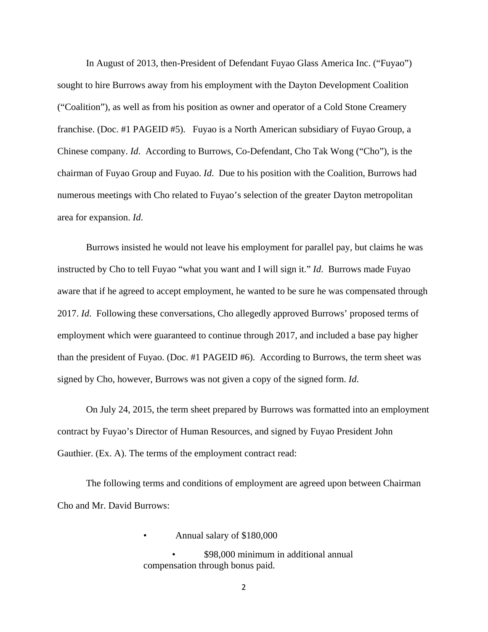In August of 2013, then-President of Defendant Fuyao Glass America Inc. ("Fuyao") sought to hire Burrows away from his employment with the Dayton Development Coalition ("Coalition"), as well as from his position as owner and operator of a Cold Stone Creamery franchise. (Doc. #1 PAGEID #5). Fuyao is a North American subsidiary of Fuyao Group, a Chinese company. *Id*. According to Burrows, Co-Defendant, Cho Tak Wong ("Cho"), is the chairman of Fuyao Group and Fuyao. *Id*. Due to his position with the Coalition, Burrows had numerous meetings with Cho related to Fuyao's selection of the greater Dayton metropolitan area for expansion. *Id*.

Burrows insisted he would not leave his employment for parallel pay, but claims he was instructed by Cho to tell Fuyao "what you want and I will sign it." *Id*. Burrows made Fuyao aware that if he agreed to accept employment, he wanted to be sure he was compensated through 2017. *Id*. Following these conversations, Cho allegedly approved Burrows' proposed terms of employment which were guaranteed to continue through 2017, and included a base pay higher than the president of Fuyao. (Doc. #1 PAGEID #6). According to Burrows, the term sheet was signed by Cho, however, Burrows was not given a copy of the signed form. *Id*.

On July 24, 2015, the term sheet prepared by Burrows was formatted into an employment contract by Fuyao's Director of Human Resources, and signed by Fuyao President John Gauthier. (Ex. A). The terms of the employment contract read:

The following terms and conditions of employment are agreed upon between Chairman Cho and Mr. David Burrows:

• Annual salary of \$180,000

• \$98,000 minimum in additional annual compensation through bonus paid.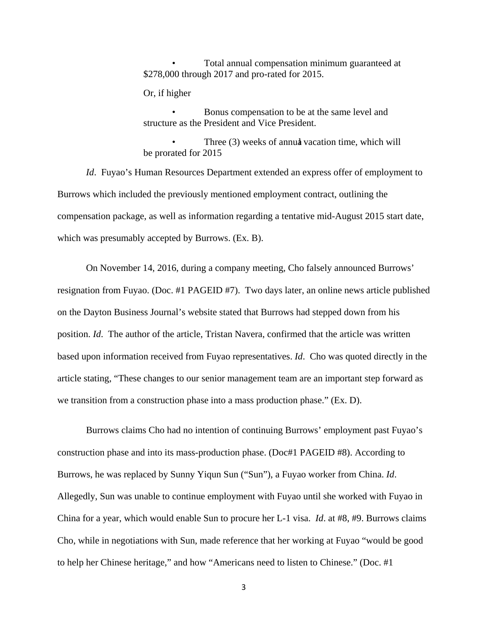• Total annual compensation minimum guaranteed at \$278,000 through 2017 and pro-rated for 2015.

Or, if higher

• Bonus compensation to be at the same level and structure as the President and Vice President.

Three (3) weeks of annual vacation time, which will be prorated for 2015

*Id*. Fuyao's Human Resources Department extended an express offer of employment to Burrows which included the previously mentioned employment contract, outlining the compensation package, as well as information regarding a tentative mid-August 2015 start date, which was presumably accepted by Burrows. (Ex. B).

On November 14, 2016, during a company meeting, Cho falsely announced Burrows' resignation from Fuyao. (Doc. #1 PAGEID #7). Two days later, an online news article published on the Dayton Business Journal's website stated that Burrows had stepped down from his position. *Id*. The author of the article, Tristan Navera, confirmed that the article was written based upon information received from Fuyao representatives. *Id*. Cho was quoted directly in the article stating, "These changes to our senior management team are an important step forward as we transition from a construction phase into a mass production phase." (Ex. D).

Burrows claims Cho had no intention of continuing Burrows' employment past Fuyao's construction phase and into its mass-production phase. (Doc#1 PAGEID #8). According to Burrows, he was replaced by Sunny Yiqun Sun ("Sun"), a Fuyao worker from China. *Id*. Allegedly, Sun was unable to continue employment with Fuyao until she worked with Fuyao in China for a year, which would enable Sun to procure her L-1 visa. *Id*. at #8, #9. Burrows claims Cho, while in negotiations with Sun, made reference that her working at Fuyao "would be good to help her Chinese heritage," and how "Americans need to listen to Chinese." (Doc. #1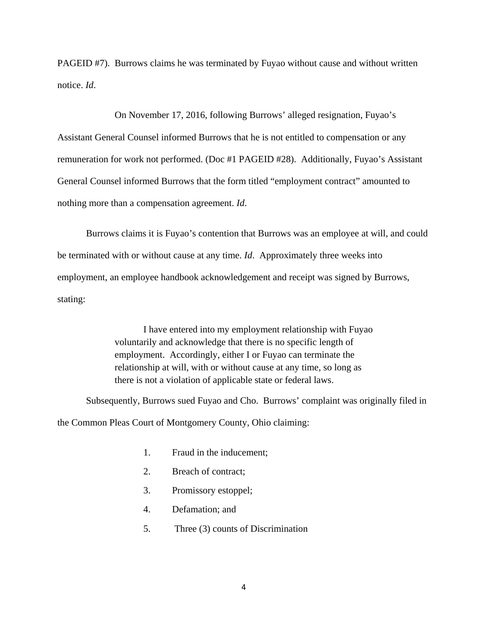PAGEID #7). Burrows claims he was terminated by Fuyao without cause and without written notice. *Id*.

 On November 17, 2016, following Burrows' alleged resignation, Fuyao's Assistant General Counsel informed Burrows that he is not entitled to compensation or any remuneration for work not performed. (Doc #1 PAGEID #28). Additionally, Fuyao's Assistant General Counsel informed Burrows that the form titled "employment contract" amounted to nothing more than a compensation agreement. *Id*.

Burrows claims it is Fuyao's contention that Burrows was an employee at will, and could be terminated with or without cause at any time. *Id*. Approximately three weeks into employment, an employee handbook acknowledgement and receipt was signed by Burrows, stating:

> I have entered into my employment relationship with Fuyao voluntarily and acknowledge that there is no specific length of employment. Accordingly, either I or Fuyao can terminate the relationship at will, with or without cause at any time, so long as there is not a violation of applicable state or federal laws.

Subsequently, Burrows sued Fuyao and Cho. Burrows' complaint was originally filed in the Common Pleas Court of Montgomery County, Ohio claiming:

- 1. Fraud in the inducement;
- 2. Breach of contract;
- 3. Promissory estoppel;
- 4. Defamation; and
- 5. Three (3) counts of Discrimination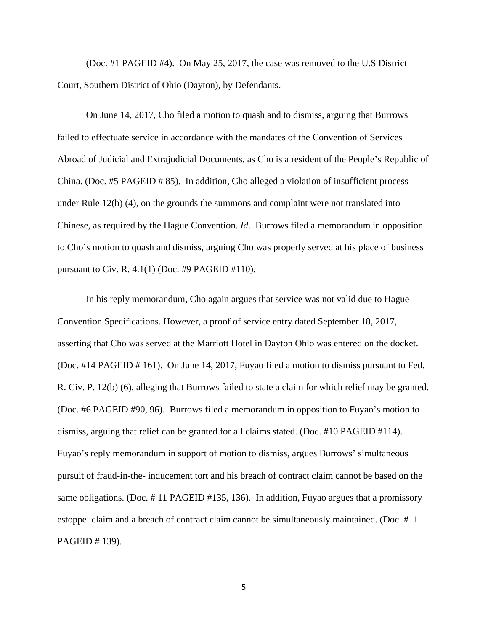(Doc. #1 PAGEID #4). On May 25, 2017, the case was removed to the U.S District Court, Southern District of Ohio (Dayton), by Defendants.

On June 14, 2017, Cho filed a motion to quash and to dismiss, arguing that Burrows failed to effectuate service in accordance with the mandates of the Convention of Services Abroad of Judicial and Extrajudicial Documents, as Cho is a resident of the People's Republic of China. (Doc. #5 PAGEID # 85). In addition, Cho alleged a violation of insufficient process under Rule 12(b) (4), on the grounds the summons and complaint were not translated into Chinese, as required by the Hague Convention. *Id*. Burrows filed a memorandum in opposition to Cho's motion to quash and dismiss, arguing Cho was properly served at his place of business pursuant to Civ. R. 4.1(1) (Doc. #9 PAGEID #110).

In his reply memorandum, Cho again argues that service was not valid due to Hague Convention Specifications. However, a proof of service entry dated September 18, 2017, asserting that Cho was served at the Marriott Hotel in Dayton Ohio was entered on the docket. (Doc. #14 PAGEID # 161). On June 14, 2017, Fuyao filed a motion to dismiss pursuant to Fed. R. Civ. P. 12(b) (6), alleging that Burrows failed to state a claim for which relief may be granted. (Doc. #6 PAGEID #90, 96). Burrows filed a memorandum in opposition to Fuyao's motion to dismiss, arguing that relief can be granted for all claims stated. (Doc. #10 PAGEID #114). Fuyao's reply memorandum in support of motion to dismiss, argues Burrows' simultaneous pursuit of fraud-in-the- inducement tort and his breach of contract claim cannot be based on the same obligations. (Doc. # 11 PAGEID #135, 136). In addition, Fuyao argues that a promissory estoppel claim and a breach of contract claim cannot be simultaneously maintained. (Doc. #11 PAGEID # 139).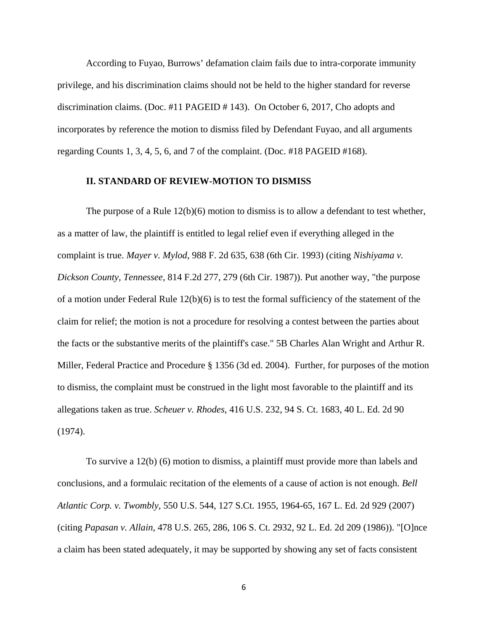According to Fuyao, Burrows' defamation claim fails due to intra-corporate immunity privilege, and his discrimination claims should not be held to the higher standard for reverse discrimination claims. (Doc. #11 PAGEID # 143). On October 6, 2017, Cho adopts and incorporates by reference the motion to dismiss filed by Defendant Fuyao, and all arguments regarding Counts 1, 3, 4, 5, 6, and 7 of the complaint. (Doc. #18 PAGEID #168).

## **II. STANDARD OF REVIEW-MOTION TO DISMISS**

The purpose of a Rule 12(b)(6) motion to dismiss is to allow a defendant to test whether, as a matter of law, the plaintiff is entitled to legal relief even if everything alleged in the complaint is true. *Mayer v. Mylod*, 988 F. 2d 635, 638 (6th Cir. 1993) (citing *Nishiyama v. Dickson County, Tennessee*, 814 F.2d 277, 279 (6th Cir. 1987)). Put another way, "the purpose of a motion under Federal Rule 12(b)(6) is to test the formal sufficiency of the statement of the claim for relief; the motion is not a procedure for resolving a contest between the parties about the facts or the substantive merits of the plaintiff's case." 5B Charles Alan Wright and Arthur R. Miller, Federal Practice and Procedure § 1356 (3d ed. 2004). Further, for purposes of the motion to dismiss, the complaint must be construed in the light most favorable to the plaintiff and its allegations taken as true. *Scheuer v. Rhodes*, 416 U.S. 232, 94 S. Ct. 1683, 40 L. Ed. 2d 90 (1974).

To survive a 12(b) (6) motion to dismiss, a plaintiff must provide more than labels and conclusions, and a formulaic recitation of the elements of a cause of action is not enough. *Bell Atlantic Corp. v. Twombly*, 550 U.S. 544, 127 S.Ct. 1955, 1964-65, 167 L. Ed. 2d 929 (2007) (citing *Papasan v. Allain*, 478 U.S. 265, 286, 106 S. Ct. 2932, 92 L. Ed. 2d 209 (1986)). "[O]nce a claim has been stated adequately, it may be supported by showing any set of facts consistent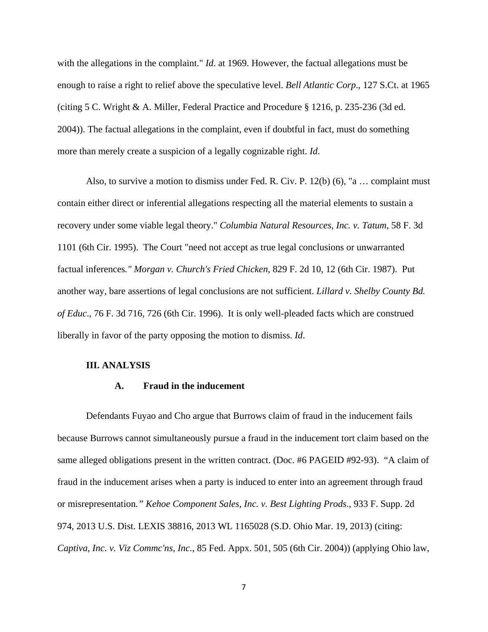with the allegations in the complaint." *Id*. at 1969. However, the factual allegations must be enough to raise a right to relief above the speculative level. *Bell Atlantic Corp*., 127 S.Ct. at 1965 (citing 5 C. Wright & A. Miller, Federal Practice and Procedure § 1216, p. 235-236 (3d ed. 2004)). The factual allegations in the complaint, even if doubtful in fact, must do something more than merely create a suspicion of a legally cognizable right. *Id*.

Also, to survive a motion to dismiss under Fed. R. Civ. P. 12(b) (6), "a … complaint must contain either direct or inferential allegations respecting all the material elements to sustain a recovery under some viable legal theory." *Columbia Natural Resources, Inc. v. Tatum*, 58 F. 3d 1101 (6th Cir. 1995). The Court "need not accept as true legal conclusions or unwarranted factual inferences*." Morgan v. Church's Fried Chicken*, 829 F. 2d 10, 12 (6th Cir. 1987). Put another way, bare assertions of legal conclusions are not sufficient. *Lillard v. Shelby County Bd. of Educ*., 76 F. 3d 716, 726 (6th Cir. 1996). It is only well-pleaded facts which are construed liberally in favor of the party opposing the motion to dismiss. *Id*.

## **III. ANALYSIS**

## **A. Fraud in the inducement**

Defendants Fuyao and Cho argue that Burrows claim of fraud in the inducement fails because Burrows cannot simultaneously pursue a fraud in the inducement tort claim based on the same alleged obligations present in the written contract. (Doc. #6 PAGEID #92-93). "A claim of fraud in the inducement arises when a party is induced to enter into an agreement through fraud or misrepresentation*." Kehoe Component Sales, Inc. v. Best Lighting Prods*., 933 F. Supp. 2d 974, 2013 U.S. Dist. LEXIS 38816, 2013 WL 1165028 (S.D. Ohio Mar. 19, 2013) (citing: *Captiva, Inc. v. Viz Commc'ns, Inc.*, 85 Fed. Appx. 501, 505 (6th Cir. 2004)) (applying Ohio law,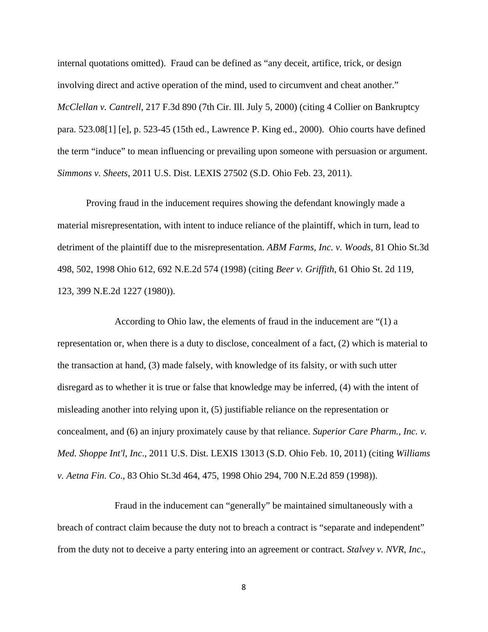internal quotations omitted). Fraud can be defined as "any deceit, artifice, trick, or design involving direct and active operation of the mind, used to circumvent and cheat another." *McClellan v. Cantrell*, 217 F.3d 890 (7th Cir. Ill. July 5, 2000) (citing 4 Collier on Bankruptcy para. 523.08[1] [e], p. 523-45 (15th ed., Lawrence P. King ed., 2000). Ohio courts have defined the term "induce" to mean influencing or prevailing upon someone with persuasion or argument. *Simmons v. Sheets*, 2011 U.S. Dist. LEXIS 27502 (S.D. Ohio Feb. 23, 2011).

Proving fraud in the inducement requires showing the defendant knowingly made a material misrepresentation, with intent to induce reliance of the plaintiff, which in turn, lead to detriment of the plaintiff due to the misrepresentation. *ABM Farms, Inc. v. Woods*, 81 Ohio St.3d 498, 502, 1998 Ohio 612, 692 N.E.2d 574 (1998) (citing *Beer v. Griffith*, 61 Ohio St. 2d 119, 123, 399 N.E.2d 1227 (1980)).

 According to Ohio law, the elements of fraud in the inducement are "(1) a representation or, when there is a duty to disclose, concealment of a fact, (2) which is material to the transaction at hand, (3) made falsely, with knowledge of its falsity, or with such utter disregard as to whether it is true or false that knowledge may be inferred, (4) with the intent of misleading another into relying upon it, (5) justifiable reliance on the representation or concealment, and (6) an injury proximately cause by that reliance. *Superior Care Pharm., Inc. v. Med. Shoppe Int'l, Inc*., 2011 U.S. Dist. LEXIS 13013 (S.D. Ohio Feb. 10, 2011) (citing *Williams v. Aetna Fin. Co*., 83 Ohio St.3d 464, 475, 1998 Ohio 294, 700 N.E.2d 859 (1998)).

 Fraud in the inducement can "generally" be maintained simultaneously with a breach of contract claim because the duty not to breach a contract is "separate and independent" from the duty not to deceive a party entering into an agreement or contract. *Stalvey v. NVR, Inc*.,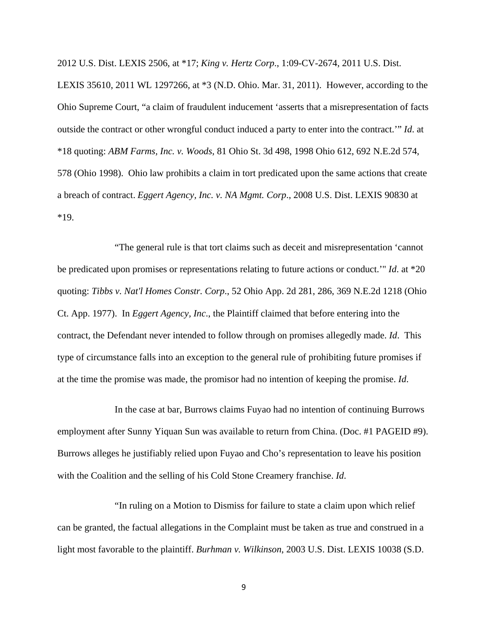2012 U.S. Dist. LEXIS 2506, at \*17; *King v. Hertz Corp*., 1:09-CV-2674, 2011 U.S. Dist.

LEXIS 35610, 2011 WL 1297266, at \*3 (N.D. Ohio. Mar. 31, 2011). However, according to the Ohio Supreme Court, "a claim of fraudulent inducement 'asserts that a misrepresentation of facts outside the contract or other wrongful conduct induced a party to enter into the contract.'" *Id*. at \*18 quoting: *ABM Farms, Inc. v. Woods*, 81 Ohio St. 3d 498, 1998 Ohio 612, 692 N.E.2d 574, 578 (Ohio 1998). Ohio law prohibits a claim in tort predicated upon the same actions that create a breach of contract. *Eggert Agency, Inc. v. NA Mgmt. Corp*., 2008 U.S. Dist. LEXIS 90830 at \*19.

 "The general rule is that tort claims such as deceit and misrepresentation 'cannot be predicated upon promises or representations relating to future actions or conduct.'" *Id*. at \*20 quoting: *Tibbs v. Nat'l Homes Constr. Corp*., 52 Ohio App. 2d 281, 286, 369 N.E.2d 1218 (Ohio Ct. App. 1977). In *Eggert Agency, Inc*., the Plaintiff claimed that before entering into the contract, the Defendant never intended to follow through on promises allegedly made. *Id*. This type of circumstance falls into an exception to the general rule of prohibiting future promises if at the time the promise was made, the promisor had no intention of keeping the promise. *Id*.

 In the case at bar, Burrows claims Fuyao had no intention of continuing Burrows employment after Sunny Yiquan Sun was available to return from China. (Doc. #1 PAGEID #9). Burrows alleges he justifiably relied upon Fuyao and Cho's representation to leave his position with the Coalition and the selling of his Cold Stone Creamery franchise. *Id*.

"In ruling on a Motion to Dismiss for failure to state a claim upon which relief can be granted, the factual allegations in the Complaint must be taken as true and construed in a light most favorable to the plaintiff. *Burhman v. Wilkinson*, 2003 U.S. Dist. LEXIS 10038 (S.D.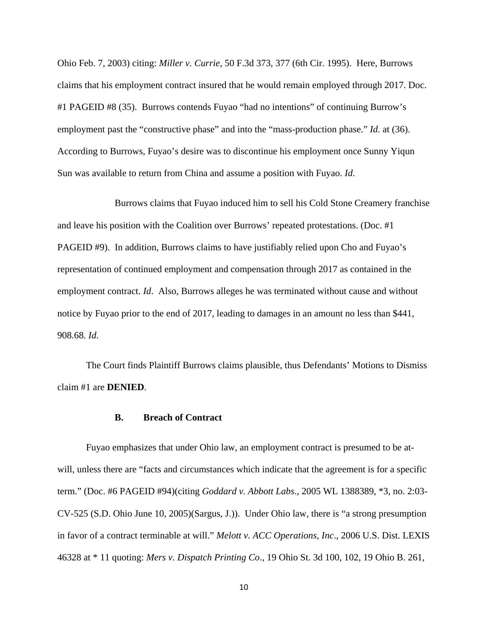Ohio Feb. 7, 2003) citing: *Miller v. Currie*, 50 F.3d 373, 377 (6th Cir. 1995). Here, Burrows claims that his employment contract insured that he would remain employed through 2017. Doc. #1 PAGEID #8 (35). Burrows contends Fuyao "had no intentions" of continuing Burrow's employment past the "constructive phase" and into the "mass-production phase." *Id.* at (36). According to Burrows, Fuyao's desire was to discontinue his employment once Sunny Yiqun Sun was available to return from China and assume a position with Fuyao. *Id*.

 Burrows claims that Fuyao induced him to sell his Cold Stone Creamery franchise and leave his position with the Coalition over Burrows' repeated protestations. (Doc. #1 PAGEID #9). In addition, Burrows claims to have justifiably relied upon Cho and Fuyao's representation of continued employment and compensation through 2017 as contained in the employment contract. *Id*. Also, Burrows alleges he was terminated without cause and without notice by Fuyao prior to the end of 2017, leading to damages in an amount no less than \$441, 908.68. *Id*.

The Court finds Plaintiff Burrows claims plausible, thus Defendants' Motions to Dismiss claim #1 are **DENIED**.

#### **B. Breach of Contract**

Fuyao emphasizes that under Ohio law, an employment contract is presumed to be atwill, unless there are "facts and circumstances which indicate that the agreement is for a specific term." (Doc. #6 PAGEID #94)(citing *Goddard v. Abbott Labs*., 2005 WL 1388389, \*3, no. 2:03- CV-525 (S.D. Ohio June 10, 2005)(Sargus, J.)). Under Ohio law, there is "a strong presumption in favor of a contract terminable at will." *Melott v. ACC Operations, Inc*., 2006 U.S. Dist. LEXIS 46328 at \* 11 quoting: *Mers v. Dispatch Printing Co*., 19 Ohio St. 3d 100, 102, 19 Ohio B. 261,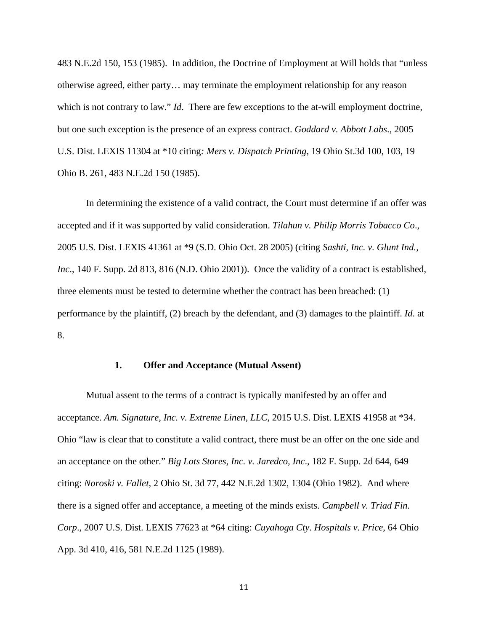483 N.E.2d 150, 153 (1985). In addition, the Doctrine of Employment at Will holds that "unless otherwise agreed, either party… may terminate the employment relationship for any reason which is not contrary to law." *Id*. There are few exceptions to the at-will employment doctrine, but one such exception is the presence of an express contract. *Goddard v. Abbott Labs*., 2005 U.S. Dist. LEXIS 11304 at \*10 citing*: Mers v. Dispatch Printing*, 19 Ohio St.3d 100, 103, 19 Ohio B. 261, 483 N.E.2d 150 (1985).

In determining the existence of a valid contract, the Court must determine if an offer was accepted and if it was supported by valid consideration. *Tilahun v. Philip Morris Tobacco Co*., 2005 U.S. Dist. LEXIS 41361 at \*9 (S.D. Ohio Oct. 28 2005) (citing *Sashti, Inc. v. Glunt Ind., Inc*., 140 F. Supp. 2d 813, 816 (N.D. Ohio 2001)). Once the validity of a contract is established, three elements must be tested to determine whether the contract has been breached: (1) performance by the plaintiff, (2) breach by the defendant, and (3) damages to the plaintiff. *Id*. at 8.

#### **1. Offer and Acceptance (Mutual Assent)**

Mutual assent to the terms of a contract is typically manifested by an offer and acceptance. *Am. Signature, Inc. v. Extreme Linen, LLC*, 2015 U.S. Dist. LEXIS 41958 at \*34. Ohio "law is clear that to constitute a valid contract, there must be an offer on the one side and an acceptance on the other." *Big Lots Stores, Inc. v. Jaredco, Inc*., 182 F. Supp. 2d 644, 649 citing: *Noroski v. Fallet*, 2 Ohio St. 3d 77, 442 N.E.2d 1302, 1304 (Ohio 1982). And where there is a signed offer and acceptance, a meeting of the minds exists. *Campbell v. Triad Fin. Corp*., 2007 U.S. Dist. LEXIS 77623 at \*64 citing: *Cuyahoga Cty. Hospitals v. Price*, 64 Ohio App. 3d 410, 416, 581 N.E.2d 1125 (1989).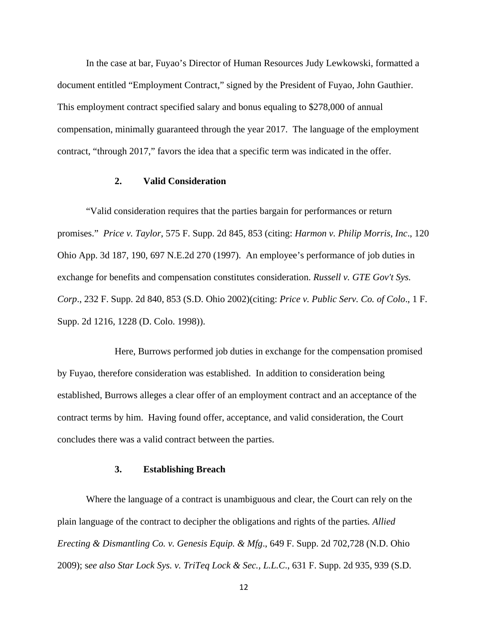In the case at bar, Fuyao's Director of Human Resources Judy Lewkowski, formatted a document entitled "Employment Contract," signed by the President of Fuyao, John Gauthier. This employment contract specified salary and bonus equaling to \$278,000 of annual compensation, minimally guaranteed through the year 2017. The language of the employment contract, "through 2017," favors the idea that a specific term was indicated in the offer.

## **2. Valid Consideration**

"Valid consideration requires that the parties bargain for performances or return promises." *Price v. Taylor*, 575 F. Supp. 2d 845, 853 (citing: *Harmon v. Philip Morris, Inc*., 120 Ohio App. 3d 187, 190, 697 N.E.2d 270 (1997). An employee's performance of job duties in exchange for benefits and compensation constitutes consideration. *Russell v. GTE Gov't Sys. Corp*., 232 F. Supp. 2d 840, 853 (S.D. Ohio 2002)(citing: *Price v. Public Serv. Co. of Colo*., 1 F. Supp. 2d 1216, 1228 (D. Colo. 1998)).

 Here, Burrows performed job duties in exchange for the compensation promised by Fuyao, therefore consideration was established. In addition to consideration being established, Burrows alleges a clear offer of an employment contract and an acceptance of the contract terms by him. Having found offer, acceptance, and valid consideration, the Court concludes there was a valid contract between the parties.

## **3. Establishing Breach**

Where the language of a contract is unambiguous and clear, the Court can rely on the plain language of the contract to decipher the obligations and rights of the parties*. Allied Erecting & Dismantling Co. v. Genesis Equip. & Mfg*., 649 F. Supp. 2d 702,728 (N.D. Ohio 2009); s*ee also Star Lock Sys. v. TriTeq Lock & Sec., L.L.C*., 631 F. Supp. 2d 935, 939 (S.D.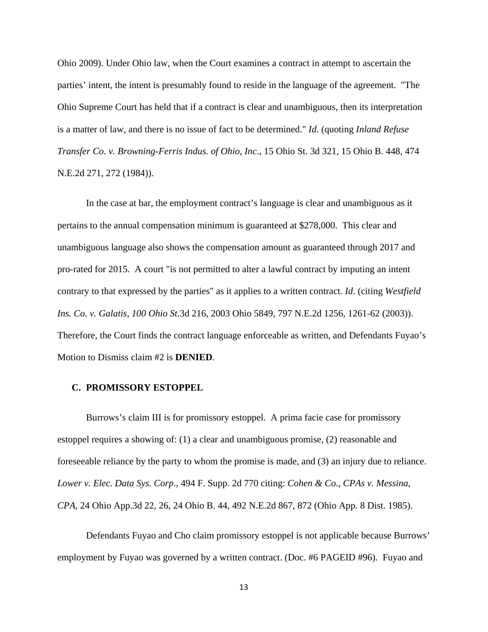Ohio 2009). Under Ohio law, when the Court examines a contract in attempt to ascertain the parties' intent, the intent is presumably found to reside in the language of the agreement. "The Ohio Supreme Court has held that if a contract is clear and unambiguous, then its interpretation is a matter of law, and there is no issue of fact to be determined." *Id*. (quoting *Inland Refuse Transfer Co. v. Browning-Ferris Indus. of Ohio, Inc*., 15 Ohio St. 3d 321, 15 Ohio B. 448, 474 N.E.2d 271, 272 (1984)).

In the case at bar, the employment contract's language is clear and unambiguous as it pertains to the annual compensation minimum is guaranteed at \$278,000. This clear and unambiguous language also shows the compensation amount as guaranteed through 2017 and pro-rated for 2015. A court "is not permitted to alter a lawful contract by imputing an intent contrary to that expressed by the parties" as it applies to a written contract. *Id*. (citing *Westfield Ins. Co. v. Galatis, 100 Ohio St*.3d 216, 2003 Ohio 5849, 797 N.E.2d 1256, 1261-62 (2003)). Therefore, the Court finds the contract language enforceable as written, and Defendants Fuyao's Motion to Dismiss claim #2 is **DENIED**.

## **C. PROMISSORY ESTOPPEL**

Burrows's claim III is for promissory estoppel. A prima facie case for promissory estoppel requires a showing of: (1) a clear and unambiguous promise, (2) reasonable and foreseeable reliance by the party to whom the promise is made, and (3) an injury due to reliance. *Lower v. Elec. Data Sys. Corp*., 494 F. Supp. 2d 770 citing: *Cohen & Co., CPAs v. Messina, CPA*, 24 Ohio App.3d 22, 26, 24 Ohio B. 44, 492 N.E.2d 867, 872 (Ohio App. 8 Dist. 1985).

Defendants Fuyao and Cho claim promissory estoppel is not applicable because Burrows' employment by Fuyao was governed by a written contract. (Doc. #6 PAGEID #96). Fuyao and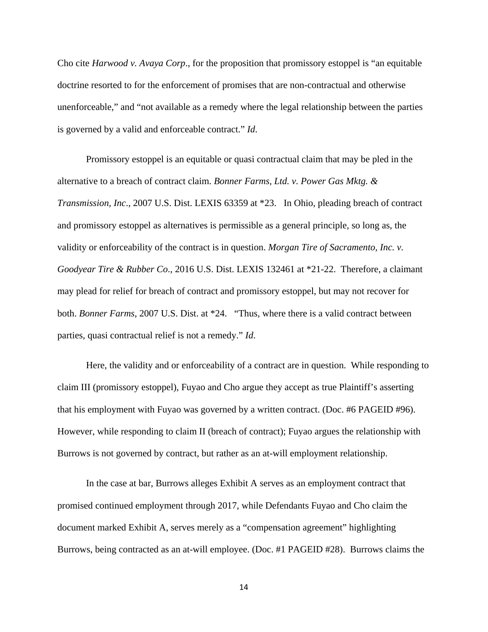Cho cite *Harwood v. Avaya Corp*., for the proposition that promissory estoppel is "an equitable doctrine resorted to for the enforcement of promises that are non-contractual and otherwise unenforceable," and "not available as a remedy where the legal relationship between the parties is governed by a valid and enforceable contract." *Id*.

Promissory estoppel is an equitable or quasi contractual claim that may be pled in the alternative to a breach of contract claim. *Bonner Farms, Ltd. v. Power Gas Mktg. & Transmission, Inc*., 2007 U.S. Dist. LEXIS 63359 at \*23. In Ohio, pleading breach of contract and promissory estoppel as alternatives is permissible as a general principle, so long as, the validity or enforceability of the contract is in question. *Morgan Tire of Sacramento, Inc. v. Goodyear Tire & Rubber Co*., 2016 U.S. Dist. LEXIS 132461 at \*21-22. Therefore, a claimant may plead for relief for breach of contract and promissory estoppel, but may not recover for both. *Bonner Farms*, 2007 U.S. Dist. at \*24. "Thus, where there is a valid contract between parties, quasi contractual relief is not a remedy." *Id*.

Here, the validity and or enforceability of a contract are in question. While responding to claim III (promissory estoppel), Fuyao and Cho argue they accept as true Plaintiff's asserting that his employment with Fuyao was governed by a written contract. (Doc. #6 PAGEID #96). However, while responding to claim II (breach of contract); Fuyao argues the relationship with Burrows is not governed by contract, but rather as an at-will employment relationship.

In the case at bar, Burrows alleges Exhibit A serves as an employment contract that promised continued employment through 2017, while Defendants Fuyao and Cho claim the document marked Exhibit A, serves merely as a "compensation agreement" highlighting Burrows, being contracted as an at-will employee. (Doc. #1 PAGEID #28). Burrows claims the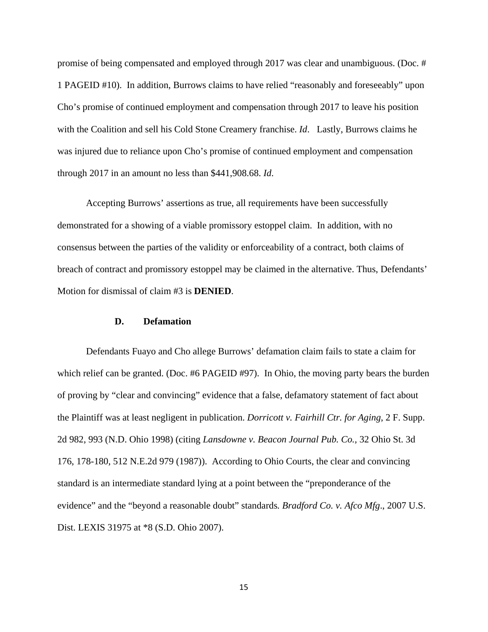promise of being compensated and employed through 2017 was clear and unambiguous. (Doc. # 1 PAGEID #10). In addition, Burrows claims to have relied "reasonably and foreseeably" upon Cho's promise of continued employment and compensation through 2017 to leave his position with the Coalition and sell his Cold Stone Creamery franchise. *Id*. Lastly, Burrows claims he was injured due to reliance upon Cho's promise of continued employment and compensation through 2017 in an amount no less than \$441,908.68. *Id*.

Accepting Burrows' assertions as true, all requirements have been successfully demonstrated for a showing of a viable promissory estoppel claim. In addition, with no consensus between the parties of the validity or enforceability of a contract, both claims of breach of contract and promissory estoppel may be claimed in the alternative. Thus, Defendants' Motion for dismissal of claim #3 is **DENIED**.

## **D. Defamation**

Defendants Fuayo and Cho allege Burrows' defamation claim fails to state a claim for which relief can be granted. (Doc. #6 PAGEID #97). In Ohio, the moving party bears the burden of proving by "clear and convincing" evidence that a false, defamatory statement of fact about the Plaintiff was at least negligent in publication. *Dorricott v. Fairhill Ctr. for Aging*, 2 F. Supp. 2d 982, 993 (N.D. Ohio 1998) (citing *Lansdowne v. Beacon Journal Pub. Co.,* 32 Ohio St. 3d 176, 178-180, 512 N.E.2d 979 (1987)). According to Ohio Courts, the clear and convincing standard is an intermediate standard lying at a point between the "preponderance of the evidence" and the "beyond a reasonable doubt" standards*. Bradford Co. v. Afco Mfg*., 2007 U.S. Dist. LEXIS 31975 at \*8 (S.D. Ohio 2007).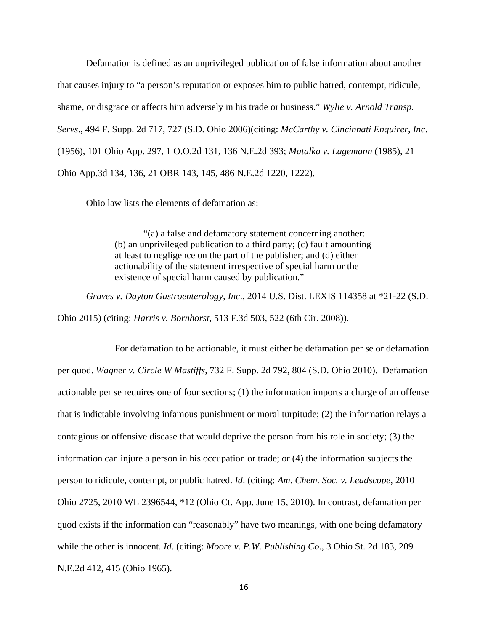Defamation is defined as an unprivileged publication of false information about another that causes injury to "a person's reputation or exposes him to public hatred, contempt, ridicule, shame, or disgrace or affects him adversely in his trade or business." *Wylie v. Arnold Transp. Servs*., 494 F. Supp. 2d 717, 727 (S.D. Ohio 2006)(citing: *McCarthy v. Cincinnati Enquirer, Inc*. (1956), 101 Ohio App. 297, 1 O.O.2d 131, 136 N.E.2d 393; *Matalka v. Lagemann* (1985), 21 Ohio App.3d 134, 136, 21 OBR 143, 145, 486 N.E.2d 1220, 1222).

Ohio law lists the elements of defamation as:

"(a) a false and defamatory statement concerning another: (b) an unprivileged publication to a third party; (c) fault amounting at least to negligence on the part of the publisher; and (d) either actionability of the statement irrespective of special harm or the existence of special harm caused by publication."

*Graves v. Dayton Gastroenterology, Inc*., 2014 U.S. Dist. LEXIS 114358 at \*21-22 (S.D. Ohio 2015) (citing: *Harris v. Bornhorst*, 513 F.3d 503, 522 (6th Cir. 2008)).

 For defamation to be actionable, it must either be defamation per se or defamation per quod. *Wagner v. Circle W Mastiffs*, 732 F. Supp. 2d 792, 804 (S.D. Ohio 2010). Defamation actionable per se requires one of four sections; (1) the information imports a charge of an offense that is indictable involving infamous punishment or moral turpitude; (2) the information relays a contagious or offensive disease that would deprive the person from his role in society; (3) the information can injure a person in his occupation or trade; or (4) the information subjects the person to ridicule, contempt, or public hatred. *Id*. (citing: *Am. Chem. Soc. v. Leadscope*, 2010 Ohio 2725, 2010 WL 2396544, \*12 (Ohio Ct. App. June 15, 2010). In contrast, defamation per quod exists if the information can "reasonably" have two meanings, with one being defamatory while the other is innocent. *Id*. (citing: *Moore v. P.W. Publishing Co*., 3 Ohio St. 2d 183, 209 N.E.2d 412, 415 (Ohio 1965).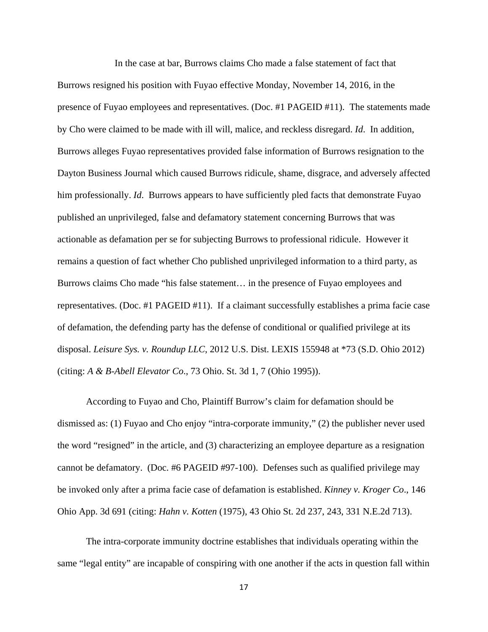In the case at bar, Burrows claims Cho made a false statement of fact that Burrows resigned his position with Fuyao effective Monday, November 14, 2016, in the presence of Fuyao employees and representatives. (Doc. #1 PAGEID #11). The statements made by Cho were claimed to be made with ill will, malice, and reckless disregard. *Id*. In addition, Burrows alleges Fuyao representatives provided false information of Burrows resignation to the Dayton Business Journal which caused Burrows ridicule, shame, disgrace, and adversely affected him professionally. *Id*. Burrows appears to have sufficiently pled facts that demonstrate Fuyao published an unprivileged, false and defamatory statement concerning Burrows that was actionable as defamation per se for subjecting Burrows to professional ridicule. However it remains a question of fact whether Cho published unprivileged information to a third party, as Burrows claims Cho made "his false statement… in the presence of Fuyao employees and representatives. (Doc. #1 PAGEID #11). If a claimant successfully establishes a prima facie case of defamation, the defending party has the defense of conditional or qualified privilege at its disposal. *Leisure Sys. v. Roundup LLC*, 2012 U.S. Dist. LEXIS 155948 at \*73 (S.D. Ohio 2012) (citing: *A & B-Abell Elevator Co*., 73 Ohio. St. 3d 1, 7 (Ohio 1995)).

According to Fuyao and Cho, Plaintiff Burrow's claim for defamation should be dismissed as: (1) Fuyao and Cho enjoy "intra-corporate immunity," (2) the publisher never used the word "resigned" in the article, and (3) characterizing an employee departure as a resignation cannot be defamatory. (Doc. #6 PAGEID #97-100). Defenses such as qualified privilege may be invoked only after a prima facie case of defamation is established. *Kinney v. Kroger Co*., 146 Ohio App. 3d 691 (citing: *Hahn v. Kotten* (1975), 43 Ohio St. 2d 237, 243, 331 N.E.2d 713).

The intra-corporate immunity doctrine establishes that individuals operating within the same "legal entity" are incapable of conspiring with one another if the acts in question fall within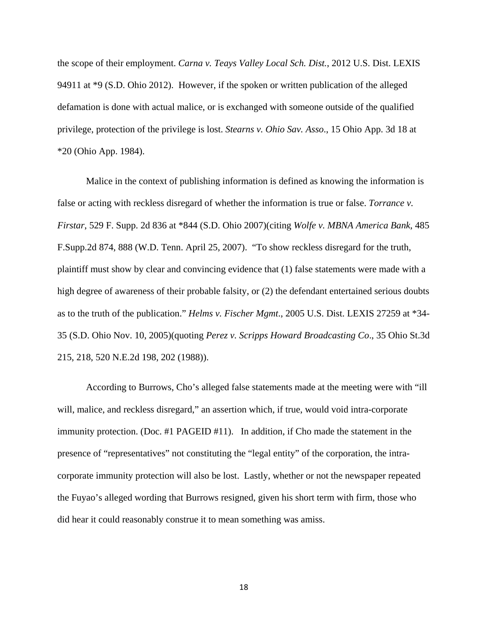the scope of their employment. *Carna v. Teays Valley Local Sch. Dist.*, 2012 U.S. Dist. LEXIS 94911 at \*9 (S.D. Ohio 2012). However, if the spoken or written publication of the alleged defamation is done with actual malice, or is exchanged with someone outside of the qualified privilege, protection of the privilege is lost. *Stearns v. Ohio Sav. Asso*., 15 Ohio App. 3d 18 at \*20 (Ohio App. 1984).

Malice in the context of publishing information is defined as knowing the information is false or acting with reckless disregard of whether the information is true or false. *Torrance v. Firstar*, 529 F. Supp. 2d 836 at \*844 (S.D. Ohio 2007)(citing *Wolfe v. MBNA America Bank*, 485 F.Supp.2d 874, 888 (W.D. Tenn. April 25, 2007). "To show reckless disregard for the truth, plaintiff must show by clear and convincing evidence that (1) false statements were made with a high degree of awareness of their probable falsity, or (2) the defendant entertained serious doubts as to the truth of the publication." *Helms v. Fischer Mgmt*., 2005 U.S. Dist. LEXIS 27259 at \*34- 35 (S.D. Ohio Nov. 10, 2005)(quoting *Perez v. Scripps Howard Broadcasting Co*., 35 Ohio St.3d 215, 218, 520 N.E.2d 198, 202 (1988)).

According to Burrows, Cho's alleged false statements made at the meeting were with "ill will, malice, and reckless disregard," an assertion which, if true, would void intra-corporate immunity protection. (Doc. #1 PAGEID #11). In addition, if Cho made the statement in the presence of "representatives" not constituting the "legal entity" of the corporation, the intracorporate immunity protection will also be lost. Lastly, whether or not the newspaper repeated the Fuyao's alleged wording that Burrows resigned, given his short term with firm, those who did hear it could reasonably construe it to mean something was amiss.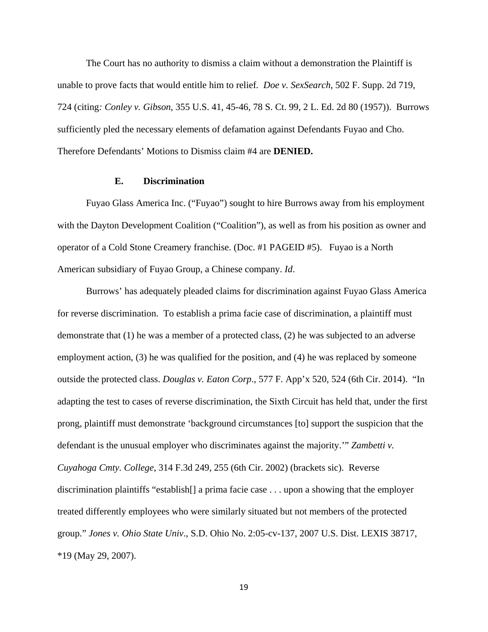The Court has no authority to dismiss a claim without a demonstration the Plaintiff is unable to prove facts that would entitle him to relief*. Doe v. SexSearch*, 502 F. Supp. 2d 719, 724 (citing*: Conley v. Gibson*, 355 U.S. 41, 45-46, 78 S. Ct. 99, 2 L. Ed. 2d 80 (1957)). Burrows sufficiently pled the necessary elements of defamation against Defendants Fuyao and Cho. Therefore Defendants' Motions to Dismiss claim #4 are **DENIED.** 

## **E. Discrimination**

Fuyao Glass America Inc. ("Fuyao") sought to hire Burrows away from his employment with the Dayton Development Coalition ("Coalition"), as well as from his position as owner and operator of a Cold Stone Creamery franchise. (Doc. #1 PAGEID #5). Fuyao is a North American subsidiary of Fuyao Group, a Chinese company. *Id*.

Burrows' has adequately pleaded claims for discrimination against Fuyao Glass America for reverse discrimination. To establish a prima facie case of discrimination, a plaintiff must demonstrate that (1) he was a member of a protected class, (2) he was subjected to an adverse employment action, (3) he was qualified for the position, and (4) he was replaced by someone outside the protected class. *Douglas v. Eaton Corp*., 577 F. App'x 520, 524 (6th Cir. 2014). "In adapting the test to cases of reverse discrimination, the Sixth Circuit has held that, under the first prong, plaintiff must demonstrate 'background circumstances [to] support the suspicion that the defendant is the unusual employer who discriminates against the majority.'" *Zambetti v. Cuyahoga Cmty. College*, 314 F.3d 249, 255 (6th Cir. 2002) (brackets sic). Reverse discrimination plaintiffs "establish[] a prima facie case . . . upon a showing that the employer treated differently employees who were similarly situated but not members of the protected group." *Jones v. Ohio State Univ*., S.D. Ohio No. 2:05-cv-137, 2007 U.S. Dist. LEXIS 38717, \*19 (May 29, 2007).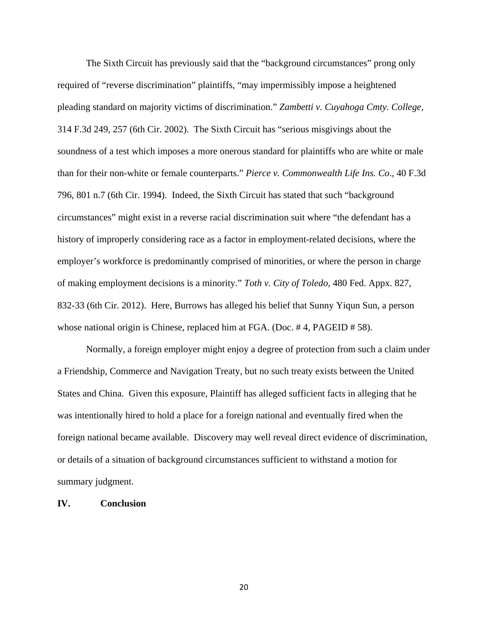The Sixth Circuit has previously said that the "background circumstances" prong only required of "reverse discrimination" plaintiffs, "may impermissibly impose a heightened pleading standard on majority victims of discrimination." *Zambetti v. Cuyahoga Cmty. College*, 314 F.3d 249, 257 (6th Cir. 2002). The Sixth Circuit has "serious misgivings about the soundness of a test which imposes a more onerous standard for plaintiffs who are white or male than for their non-white or female counterparts." *Pierce v. Commonwealth Life Ins. Co*., 40 F.3d 796, 801 n.7 (6th Cir. 1994). Indeed, the Sixth Circuit has stated that such "background circumstances" might exist in a reverse racial discrimination suit where "the defendant has a history of improperly considering race as a factor in employment-related decisions, where the employer's workforce is predominantly comprised of minorities, or where the person in charge of making employment decisions is a minority." *Toth v. City of Toledo*, 480 Fed. Appx. 827, 832-33 (6th Cir. 2012). Here, Burrows has alleged his belief that Sunny Yiqun Sun, a person whose national origin is Chinese, replaced him at FGA. (Doc. #4, PAGEID #58).

Normally, a foreign employer might enjoy a degree of protection from such a claim under a Friendship, Commerce and Navigation Treaty, but no such treaty exists between the United States and China. Given this exposure, Plaintiff has alleged sufficient facts in alleging that he was intentionally hired to hold a place for a foreign national and eventually fired when the foreign national became available. Discovery may well reveal direct evidence of discrimination, or details of a situation of background circumstances sufficient to withstand a motion for summary judgment.

## **IV. Conclusion**